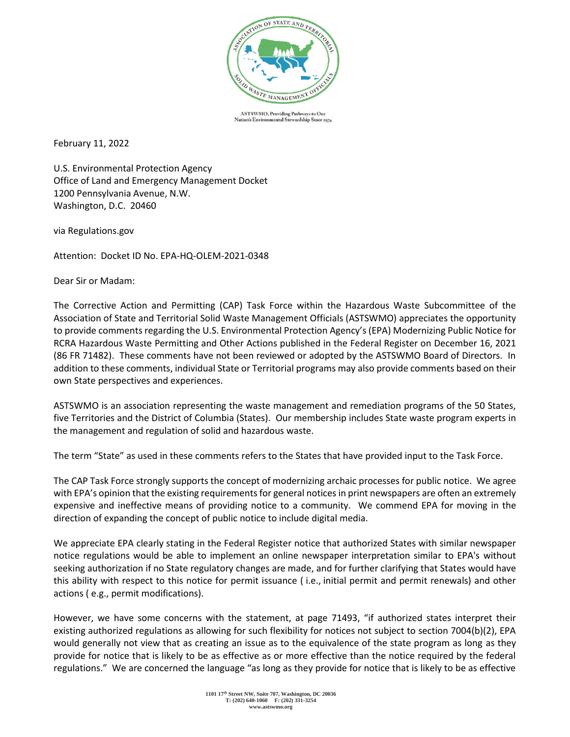

ASTSWMO, Providing Pathways to Our ental Stewardship Since 1974 Nation's Enviro

February 11, 2022

U.S. Environmental Protection Agency Office of Land and Emergency Management Docket 1200 Pennsylvania Avenue, N.W. Washington, D.C. 20460

via Regulations.gov

Attention: Docket ID No. EPA-HQ-OLEM-2021-0348

Dear Sir or Madam:

The Corrective Action and Permitting (CAP) Task Force within the Hazardous Waste Subcommittee of the Association of State and Territorial Solid Waste Management Officials (ASTSWMO) appreciates the opportunity to provide comments regarding the U.S. Environmental Protection Agency's (EPA) Modernizing Public Notice for RCRA Hazardous Waste Permitting and Other Actions published in the Federal Register on December 16, 2021 (86 FR 71482). These comments have not been reviewed or adopted by the ASTSWMO Board of Directors. In addition to these comments, individual State or Territorial programs may also provide comments based on their own State perspectives and experiences.

ASTSWMO is an association representing the waste management and remediation programs of the 50 States, five Territories and the District of Columbia (States). Our membership includes State waste program experts in the management and regulation of solid and hazardous waste.

The term "State" as used in these comments refers to the States that have provided input to the Task Force.

The CAP Task Force strongly supports the concept of modernizing archaic processes for public notice. We agree with EPA's opinion that the existing requirements for general notices in print newspapers are often an extremely expensive and ineffective means of providing notice to a community. We commend EPA for moving in the direction of expanding the concept of public notice to include digital media.

We appreciate EPA clearly stating in the Federal Register notice that authorized States with similar newspaper notice regulations would be able to implement an online newspaper interpretation similar to EPA's without seeking authorization if no State regulatory changes are made, and for further clarifying that States would have this ability with respect to this notice for permit issuance ( i.e., initial permit and permit renewals) and other actions ( e.g., permit modifications).

However, we have some concerns with the statement, at page 71493, "if authorized states interpret their existing authorized regulations as allowing for such flexibility for notices not subject to section 7004(b)(2), EPA would generally not view that as creating an issue as to the equivalence of the state program as long as they provide for notice that is likely to be as effective as or more effective than the notice required by the federal regulations." We are concerned the language "as long as they provide for notice that is likely to be as effective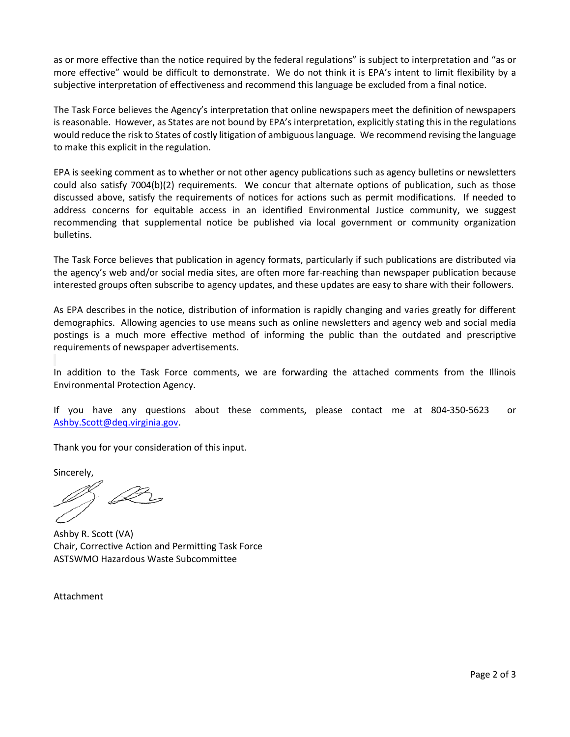as or more effective than the notice required by the federal regulations" is subject to interpretation and "as or more effective" would be difficult to demonstrate. We do not think it is EPA's intent to limit flexibility by a subjective interpretation of effectiveness and recommend this language be excluded from a final notice.

The Task Force believes the Agency's interpretation that online newspapers meet the definition of newspapers is reasonable. However, as States are not bound by EPA's interpretation, explicitly stating this in the regulations would reduce the risk to States of costly litigation of ambiguous language. We recommend revising the language to make this explicit in the regulation.

EPA is seeking comment as to whether or not other agency publications such as agency bulletins or newsletters could also satisfy 7004(b)(2) requirements. We concur that alternate options of publication, such as those discussed above, satisfy the requirements of notices for actions such as permit modifications. If needed to address concerns for equitable access in an identified Environmental Justice community, we suggest recommending that supplemental notice be published via local government or community organization bulletins.

The Task Force believes that publication in agency formats, particularly if such publications are distributed via the agency's web and/or social media sites, are often more far-reaching than newspaper publication because interested groups often subscribe to agency updates, and these updates are easy to share with their followers.

As EPA describes in the notice, distribution of information is rapidly changing and varies greatly for different demographics. Allowing agencies to use means such as online newsletters and agency web and social media postings is a much more effective method of informing the public than the outdated and prescriptive requirements of newspaper advertisements.

In addition to the Task Force comments, we are forwarding the attached comments from the Illinois Environmental Protection Agency.

If you have any questions about these comments, please contact me at 804-350-5623 or [Ashby.Scott@deq.virginia.gov.](mailto:arscott@deq.virginia.gov)

Thank you for your consideration of this input.

Sincerely,

D-

Ashby R. Scott (VA) Chair, Corrective Action and Permitting Task Force ASTSWMO Hazardous Waste Subcommittee

Attachment